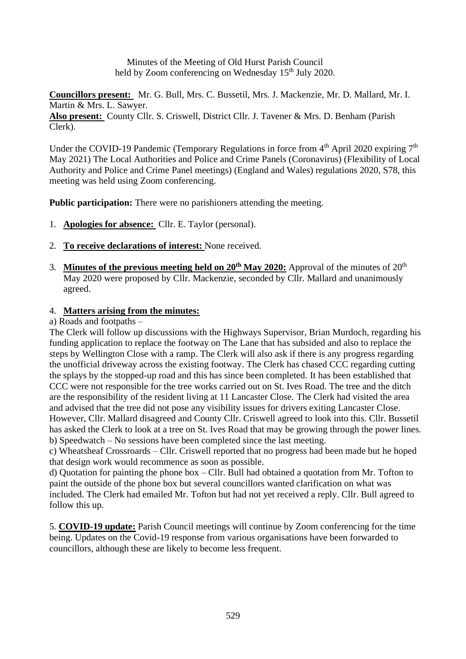Minutes of the Meeting of Old Hurst Parish Council held by Zoom conferencing on Wednesday 15<sup>th</sup> July 2020.

**Councillors present:** Mr. G. Bull, Mrs. C. Bussetil, Mrs. J. Mackenzie, Mr. D. Mallard, Mr. I. Martin & Mrs. L. Sawyer. **Also present:** County Cllr. S. Criswell, District Cllr. J. Tavener & Mrs. D. Benham (Parish Clerk).

Under the COVID-19 Pandemic (Temporary Regulations in force from  $4<sup>th</sup>$  April 2020 expiring  $7<sup>th</sup>$ May 2021) The Local Authorities and Police and Crime Panels (Coronavirus) (Flexibility of Local Authority and Police and Crime Panel meetings) (England and Wales) regulations 2020, S78, this meeting was held using Zoom conferencing.

**Public participation:** There were no parishioners attending the meeting.

- 1. **Apologies for absence:** Cllr. E. Taylor (personal).
- 2. **To receive declarations of interest:** None received.
- 3. **Minutes of the previous meeting held on 20th May 2020:** Approval of the minutes of 20th May 2020 were proposed by Cllr. Mackenzie, seconded by Cllr. Mallard and unanimously agreed.

# 4. **Matters arising from the minutes:**

## a) Roads and footpaths –

The Clerk will follow up discussions with the Highways Supervisor, Brian Murdoch, regarding his funding application to replace the footway on The Lane that has subsided and also to replace the steps by Wellington Close with a ramp. The Clerk will also ask if there is any progress regarding the unofficial driveway across the existing footway. The Clerk has chased CCC regarding cutting the splays by the stopped-up road and this has since been completed. It has been established that CCC were not responsible for the tree works carried out on St. Ives Road. The tree and the ditch are the responsibility of the resident living at 11 Lancaster Close. The Clerk had visited the area and advised that the tree did not pose any visibility issues for drivers exiting Lancaster Close. However, Cllr. Mallard disagreed and County Cllr. Criswell agreed to look into this. Cllr. Bussetil has asked the Clerk to look at a tree on St. Ives Road that may be growing through the power lines. b) Speedwatch – No sessions have been completed since the last meeting.

c) Wheatsheaf Crossroards – Cllr. Criswell reported that no progress had been made but he hoped that design work would recommence as soon as possible.

d) Quotation for painting the phone box – Cllr. Bull had obtained a quotation from Mr. Tofton to paint the outside of the phone box but several councillors wanted clarification on what was included. The Clerk had emailed Mr. Tofton but had not yet received a reply. Cllr. Bull agreed to follow this up.

5. **COVID-19 update:** Parish Council meetings will continue by Zoom conferencing for the time being. Updates on the Covid-19 response from various organisations have been forwarded to councillors, although these are likely to become less frequent.